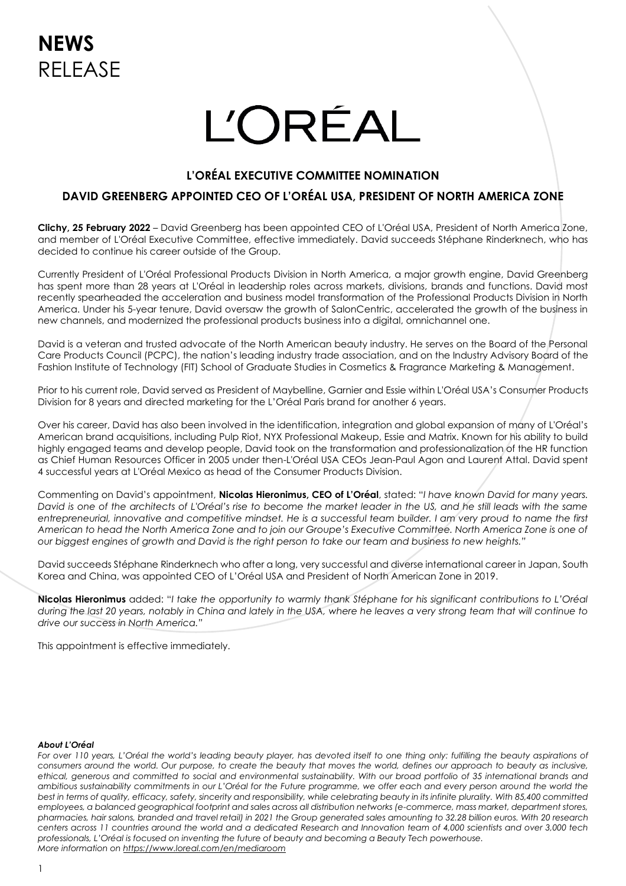# **L'ORÉAL**

## **L'ORÉAL EXECUTIVE COMMITTEE NOMINATION**

## **DAVID GREENBERG APPOINTED CEO OF L'ORÉAL USA, PRESIDENT OF NORTH AMERICA ZONE**

**Clichy, 25 February 2022** – David Greenberg has been appointed CEO of L'Oréal USA, President of North America Zone, and member of L'Oréal Executive Committee, effective immediately. David succeeds Stéphane Rinderknech, who has decided to continue his career outside of the Group.

Currently President of L'Oréal Professional Products Division in North America, a major growth engine, David Greenberg has spent more than 28 years at L'Oréal in leadership roles across markets, divisions, brands and functions. David most recently spearheaded the acceleration and business model transformation of the Professional Products Division in North America. Under his 5-year tenure, David oversaw the growth of SalonCentric, accelerated the growth of the business in new channels, and modernized the professional products business into a digital, omnichannel one.

David is a veteran and trusted advocate of the North American beauty industry. He serves on the Board of the Personal Care Products Council (PCPC), the nation's leading industry trade association, and on the Industry Advisory Board of the Fashion Institute of Technology (FIT) School of Graduate Studies in Cosmetics & Fragrance Marketing & Management.

Prior to his current role, David served as President of Maybelline, Garnier and Essie within L'Oréal USA's Consumer Products Division for 8 years and directed marketing for the L'Oréal Paris brand for another 6 years.

Over his career, David has also been involved in the identification, integration and global expansion of many of L'Oréal's American brand acquisitions, including Pulp Riot, NYX Professional Makeup, Essie and Matrix. Known for his ability to build highly engaged teams and develop people, David took on the transformation and professionalization of the HR function as Chief Human Resources Officer in 2005 under then-L'Oréal USA CEOs Jean-Paul Agon and Laurent Attal. David spent 4 successful years at L'Oréal Mexico as head of the Consumer Products Division.

Commenting on David's appointment, **Nicolas Hieronimus, CEO of L'Oréal**, stated: "*I have known David for many years. David is one of the architects of L'Oréal's rise to become the market leader in the US, and he still leads with the same entrepreneurial, innovative and competitive mindset. He is a successful team builder. I am very proud to name the first American to head the North America Zone and to join our Groupe's Executive Committee. North America Zone is one of our biggest engines of growth and David is the right person to take our team and business to new heights."*

David succeeds Stéphane Rinderknech who after a long, very successful and diverse international career in Japan, South Korea and China, was appointed CEO of L'Oréal USA and President of North American Zone in 2019.

**Nicolas Hieronimus** added: "*I take the opportunity to warmly thank Stéphane for his significant contributions to L'Oréal during the last 20 years, notably in China and lately in the USA, where he leaves a very strong team that will continue to drive our success in North America."*

This appointment is effective immediately.

#### *About L'Oréal*

For over 110 years, L'Oréal the world's leading beauty player, has devoted itself to one thing only: fulfilling the beauty aspirations of *consumers around the world. Our purpose, to create the beauty that moves the world, defines our approach to beauty as inclusive, ethical, generous and committed to social and environmental sustainability. With our broad portfolio of 35 international brands and ambitious sustainability commitments in our L'Oréal for the Future programme, we offer each and every person around the world the best in terms of quality, efficacy, safety, sincerity and responsibility, while celebrating beauty in its infinite plurality. With 85,400 committed employees, a balanced geographical footprint and sales across all distribution networks (e-commerce, mass market, department stores, pharmacies, hair salons, branded and travel retail) in 2021 the Group generated sales amounting to 32.28 billion euros. With 20 research centers across 11 countries around the world and a dedicated Research and Innovation team of 4,000 scientists and over 3,000 tech professionals, L'Oréal is focused on inventing the future of beauty and becoming a Beauty Tech powerhouse. More information on<https://www.loreal.com/en/mediaroom>*